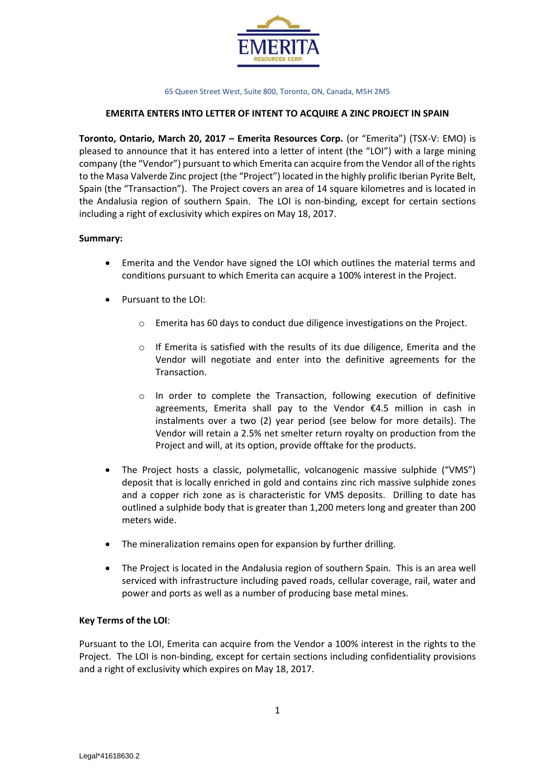

### **EMERITA ENTERS INTO LETTER OF INTENT TO ACQUIRE A ZINC PROJECT IN SPAIN**

**Toronto, Ontario, March 20, 2017 – Emerita Resources Corp.** (or "Emerita") (TSX-V: EMO) is pleased to announce that it has entered into a letter of intent (the "LOI") with a large mining company (the "Vendor") pursuant to which Emerita can acquire from the Vendor all of the rights to the Masa Valverde Zinc project (the "Project") located in the highly prolific Iberian Pyrite Belt, Spain (the "Transaction"). The Project covers an area of 14 square kilometres and is located in the Andalusia region of southern Spain. The LOI is non-binding, except for certain sections including a right of exclusivity which expires on May 18, 2017.

### **Summary:**

- Emerita and the Vendor have signed the LOI which outlines the material terms and conditions pursuant to which Emerita can acquire a 100% interest in the Project.
- Pursuant to the LOI:
	- $\circ$  Emerita has 60 days to conduct due diligence investigations on the Project.
	- $\circ$  If Emerita is satisfied with the results of its due diligence, Emerita and the Vendor will negotiate and enter into the definitive agreements for the Transaction.
	- o In order to complete the Transaction, following execution of definitive agreements, Emerita shall pay to the Vendor €4.5 million in cash in instalments over a two (2) year period (see below for more details). The Vendor will retain a 2.5% net smelter return royalty on production from the Project and will, at its option, provide offtake for the products.
- The Project hosts a classic, polymetallic, volcanogenic massive sulphide ("VMS") deposit that is locally enriched in gold and contains zinc rich massive sulphide zones and a copper rich zone as is characteristic for VMS deposits. Drilling to date has outlined a sulphide body that is greater than 1,200 meters long and greater than 200 meters wide.
- The mineralization remains open for expansion by further drilling.
- The Project is located in the Andalusia region of southern Spain. This is an area well serviced with infrastructure including paved roads, cellular coverage, rail, water and power and ports as well as a number of producing base metal mines.

# **Key Terms of the LOI**:

Pursuant to the LOI, Emerita can acquire from the Vendor a 100% interest in the rights to the Project. The LOI is non-binding, except for certain sections including confidentiality provisions and a right of exclusivity which expires on May 18, 2017.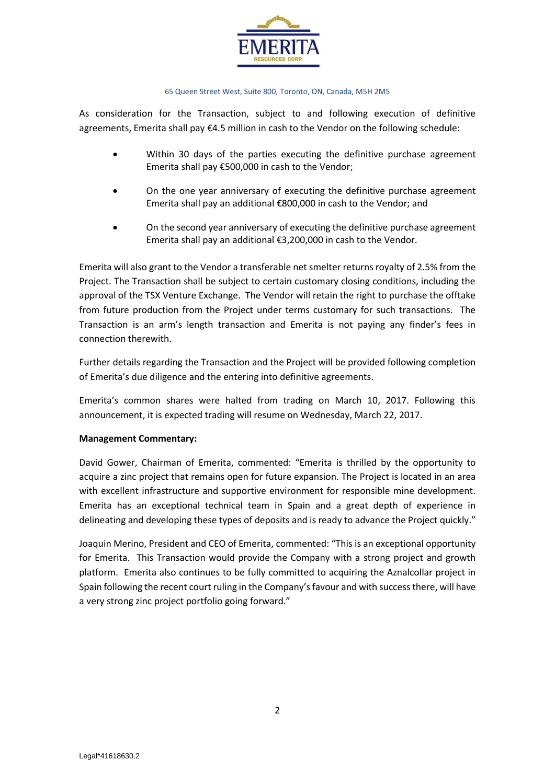

As consideration for the Transaction, subject to and following execution of definitive agreements, Emerita shall pay €4.5 million in cash to the Vendor on the following schedule:

- Within 30 days of the parties executing the definitive purchase agreement Emerita shall pay €500,000 in cash to the Vendor;
- On the one year anniversary of executing the definitive purchase agreement Emerita shall pay an additional €800,000 in cash to the Vendor; and
- On the second year anniversary of executing the definitive purchase agreement Emerita shall pay an additional €3,200,000 in cash to the Vendor.

Emerita will also grant to the Vendor a transferable net smelter returns royalty of 2.5% from the Project. The Transaction shall be subject to certain customary closing conditions, including the approval of the TSX Venture Exchange. The Vendor will retain the right to purchase the offtake from future production from the Project under terms customary for such transactions. The Transaction is an arm's length transaction and Emerita is not paying any finder's fees in connection therewith.

Further details regarding the Transaction and the Project will be provided following completion of Emerita's due diligence and the entering into definitive agreements.

Emerita's common shares were halted from trading on March 10, 2017. Following this announcement, it is expected trading will resume on Wednesday, March 22, 2017.

# **Management Commentary:**

David Gower, Chairman of Emerita, commented: "Emerita is thrilled by the opportunity to acquire a zinc project that remains open for future expansion. The Project is located in an area with excellent infrastructure and supportive environment for responsible mine development. Emerita has an exceptional technical team in Spain and a great depth of experience in delineating and developing these types of deposits and is ready to advance the Project quickly."

Joaquin Merino, President and CEO of Emerita, commented: "This is an exceptional opportunity for Emerita. This Transaction would provide the Company with a strong project and growth platform. Emerita also continues to be fully committed to acquiring the Aznalcollar project in Spain following the recent court ruling in the Company's favour and with success there, will have a very strong zinc project portfolio going forward."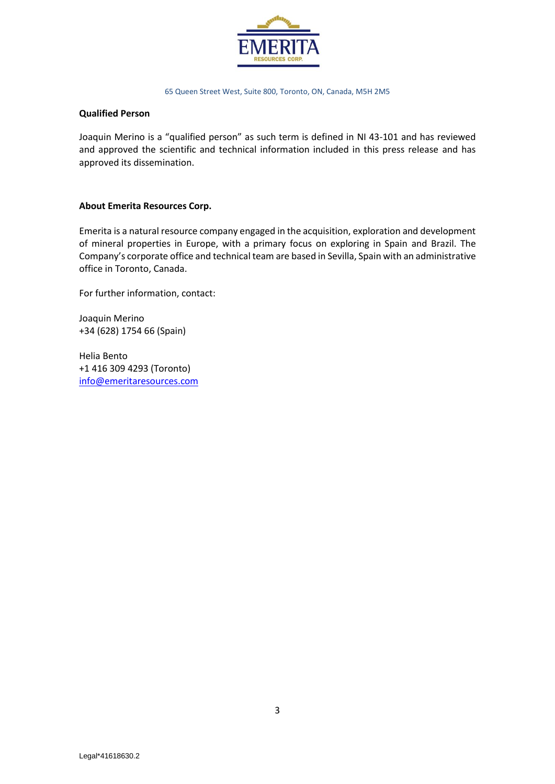

### **Qualified Person**

Joaquin Merino is a "qualified person" as such term is defined in NI 43-101 and has reviewed and approved the scientific and technical information included in this press release and has approved its dissemination.

### **About Emerita Resources Corp.**

Emerita is a natural resource company engaged in the acquisition, exploration and development of mineral properties in Europe, with a primary focus on exploring in Spain and Brazil. The Company's corporate office and technical team are based in Sevilla, Spain with an administrative office in Toronto, Canada.

For further information, contact:

Joaquin Merino +34 (628) 1754 66 (Spain)

Helia Bento +1 416 309 4293 (Toronto) [info@emeritaresources.com](mailto:info@emeritaresources.com)